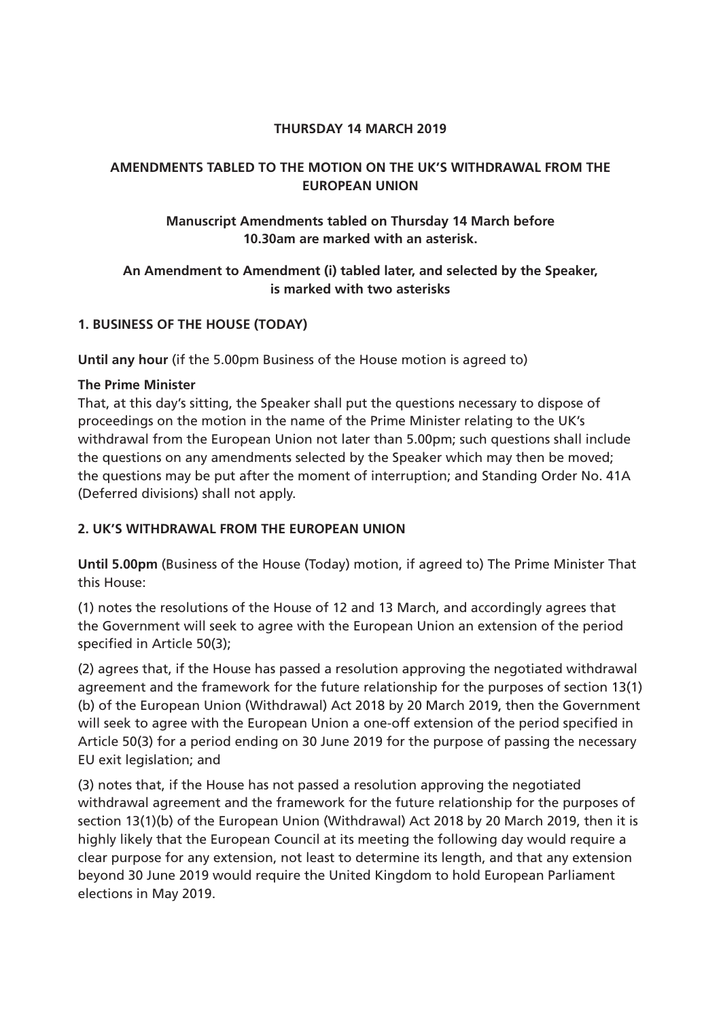### **THURSDAY 14 MARCH 2019**

# **AMENDMENTS TABLED TO THE MOTION ON THE UK'S WITHDRAWAL FROM THE EUROPEAN UNION**

# **Manuscript Amendments tabled on Thursday 14 March before 10.30am are marked with an asterisk.**

# **An Amendment to Amendment (i) tabled later, and selected by the Speaker, is marked with two asterisks**

# **1. BUSINESS OF THE HOUSE (TODAY)**

**Until any hour** (if the 5.00pm Business of the House motion is agreed to)

## **The Prime Minister**

That, at this day's sitting, the Speaker shall put the questions necessary to dispose of proceedings on the motion in the name of the Prime Minister relating to the UK's withdrawal from the European Union not later than 5.00pm; such questions shall include the questions on any amendments selected by the Speaker which may then be moved; the questions may be put after the moment of interruption; and Standing Order No. 41A (Deferred divisions) shall not apply.

## **2. UK'S WITHDRAWAL FROM THE EUROPEAN UNION**

**Until 5.00pm** (Business of the House (Today) motion, if agreed to) The Prime Minister That this House:

(1) notes the resolutions of the House of 12 and 13 March, and accordingly agrees that the Government will seek to agree with the European Union an extension of the period specified in Article 50(3);

(2) agrees that, if the House has passed a resolution approving the negotiated withdrawal agreement and the framework for the future relationship for the purposes of section 13(1) (b) of the European Union (Withdrawal) Act 2018 by 20 March 2019, then the Government will seek to agree with the European Union a one-off extension of the period specified in Article 50(3) for a period ending on 30 June 2019 for the purpose of passing the necessary EU exit legislation; and

(3) notes that, if the House has not passed a resolution approving the negotiated withdrawal agreement and the framework for the future relationship for the purposes of section 13(1)(b) of the European Union (Withdrawal) Act 2018 by 20 March 2019, then it is highly likely that the European Council at its meeting the following day would require a clear purpose for any extension, not least to determine its length, and that any extension beyond 30 June 2019 would require the United Kingdom to hold European Parliament elections in May 2019.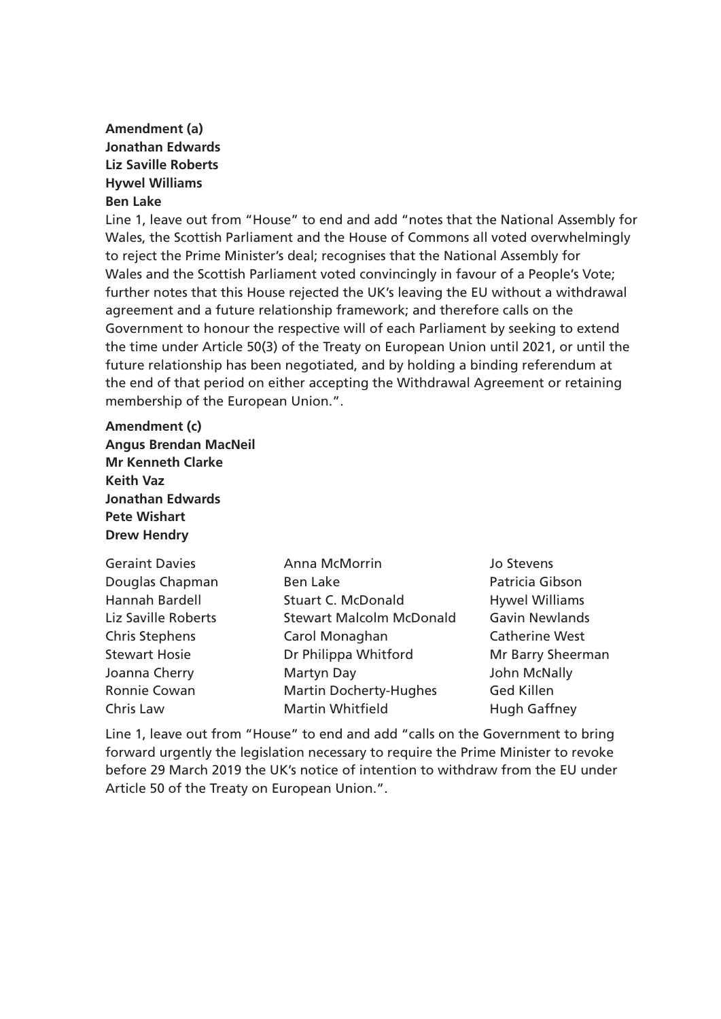## **Amendment (a) Jonathan Edwards Liz Saville Roberts Hywel Williams Ben Lake**

Line 1, leave out from "House" to end and add "notes that the National Assembly for Wales, the Scottish Parliament and the House of Commons all voted overwhelmingly to reject the Prime Minister's deal; recognises that the National Assembly for Wales and the Scottish Parliament voted convincingly in favour of a People's Vote; further notes that this House rejected the UK's leaving the EU without a withdrawal agreement and a future relationship framework; and therefore calls on the Government to honour the respective will of each Parliament by seeking to extend the time under Article 50(3) of the Treaty on European Union until 2021, or until the future relationship has been negotiated, and by holding a binding referendum at the end of that period on either accepting the Withdrawal Agreement or retaining membership of the European Union.".

#### **Amendment (c)**

**Angus Brendan MacNeil Mr Kenneth Clarke Keith Vaz Jonathan Edwards Pete Wishart Drew Hendry**

| <b>Geraint Davies</b> | Anna McMorrin                   | Jo Stevens            |
|-----------------------|---------------------------------|-----------------------|
| Douglas Chapman       | <b>Ben Lake</b>                 | Patricia Gibson       |
| Hannah Bardell        | <b>Stuart C. McDonald</b>       | <b>Hywel Williams</b> |
| Liz Saville Roberts   | <b>Stewart Malcolm McDonald</b> | <b>Gavin Newlands</b> |
| <b>Chris Stephens</b> | Carol Monaghan                  | <b>Catherine West</b> |
| <b>Stewart Hosie</b>  | Dr Philippa Whitford            | Mr Barry Sheerman     |
| Joanna Cherry         | Martyn Day                      | John McNally          |
| Ronnie Cowan          | <b>Martin Docherty-Hughes</b>   | <b>Ged Killen</b>     |
| Chris Law             | <b>Martin Whitfield</b>         | <b>Hugh Gaffney</b>   |

Line 1, leave out from "House" to end and add "calls on the Government to bring forward urgently the legislation necessary to require the Prime Minister to revoke before 29 March 2019 the UK's notice of intention to withdraw from the EU under Article 50 of the Treaty on European Union.".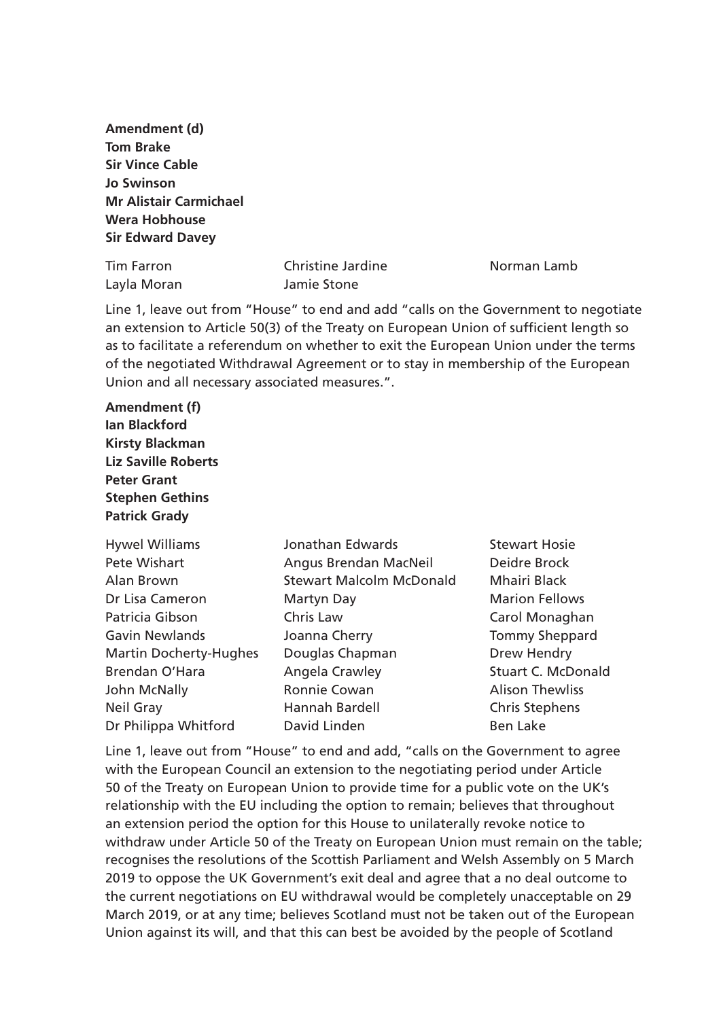**Amendment (d) Tom Brake Sir Vince Cable Jo Swinson Mr Alistair Carmichael Wera Hobhouse Sir Edward Davey** 

| <b>Tim Farron</b> | <b>Christine Jardine</b> | Norman Lamb |
|-------------------|--------------------------|-------------|
| Layla Moran       | Jamie Stone              |             |

Line 1, leave out from "House" to end and add "calls on the Government to negotiate an extension to Article 50(3) of the Treaty on European Union of sufficient length so as to facilitate a referendum on whether to exit the European Union under the terms of the negotiated Withdrawal Agreement or to stay in membership of the European Union and all necessary associated measures.".

**Amendment (f) Ian Blackford Kirsty Blackman Liz Saville Roberts Peter Grant Stephen Gethins Patrick Grady**

| <b>Hywel Williams</b>         | Jonathan Edwards                | <b>Stewart Hosie</b>      |
|-------------------------------|---------------------------------|---------------------------|
| Pete Wishart                  | Angus Brendan MacNeil           | Deidre Brock              |
| Alan Brown                    | <b>Stewart Malcolm McDonald</b> | Mhairi Black              |
| Dr Lisa Cameron               | Martyn Day                      | <b>Marion Fellows</b>     |
| Patricia Gibson               | Chris Law                       | Carol Monaghan            |
| <b>Gavin Newlands</b>         | Joanna Cherry                   | <b>Tommy Sheppard</b>     |
| <b>Martin Docherty-Hughes</b> | Douglas Chapman                 | Drew Hendry               |
| Brendan O'Hara                | Angela Crawley                  | <b>Stuart C. McDonald</b> |
| John McNally                  | Ronnie Cowan                    | <b>Alison Thewliss</b>    |
| Neil Gray                     | Hannah Bardell                  | <b>Chris Stephens</b>     |
| Dr Philippa Whitford          | David Linden                    | <b>Ben Lake</b>           |

Line 1, leave out from "House" to end and add, "calls on the Government to agree with the European Council an extension to the negotiating period under Article 50 of the Treaty on European Union to provide time for a public vote on the UK's relationship with the EU including the option to remain; believes that throughout an extension period the option for this House to unilaterally revoke notice to withdraw under Article 50 of the Treaty on European Union must remain on the table; recognises the resolutions of the Scottish Parliament and Welsh Assembly on 5 March 2019 to oppose the UK Government's exit deal and agree that a no deal outcome to the current negotiations on EU withdrawal would be completely unacceptable on 29 March 2019, or at any time; believes Scotland must not be taken out of the European Union against its will, and that this can best be avoided by the people of Scotland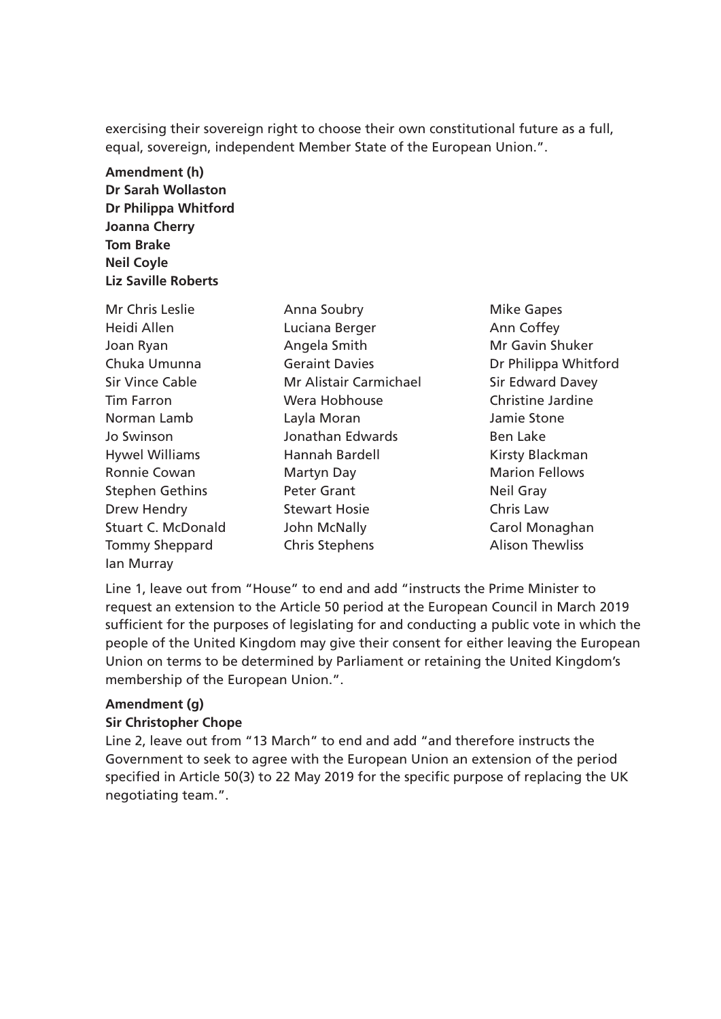exercising their sovereign right to choose their own constitutional future as a full, equal, sovereign, independent Member State of the European Union.".

**Amendment (h) Dr Sarah Wollaston Dr Philippa Whitford Joanna Cherry Tom Brake Neil Coyle Liz Saville Roberts**

Mr Chris Leslie **Anna Soubry Mike Gapes Mike Gapes** Heidi Allen **Luciana Berger** Ann Coffey Joan Ryan **Angela Smith** Mr Gavin Shuker Chuka Umunna Geraint Davies Dr Philippa Whitford Sir Vince Cable **Mr Alistair Carmichael** Sir Edward Davey Tim Farron Wera Hobhouse Christine Jardine Norman Lamb Layla Moran Jamie Stone Jo Swinson Jonathan Edwards Ben Lake Hywel Williams **Hannah Bardell** Hywel Kirsty Blackman Ronnie Cowan Martyn Day Marion Fellows Stephen Gethins **Peter Grant** Neil Gray Drew Hendry **Stewart Hosie** Chris Law Stuart C. McDonald C. John McNally Carol Monaghan Tommy Sheppard Chris Stephens Chris Stephens Alison Thewliss Ian Murray

Line 1, leave out from "House" to end and add "instructs the Prime Minister to request an extension to the Article 50 period at the European Council in March 2019 sufficient for the purposes of legislating for and conducting a public vote in which the people of the United Kingdom may give their consent for either leaving the European Union on terms to be determined by Parliament or retaining the United Kingdom's membership of the European Union.".

#### **Amendment (g)**

#### **Sir Christopher Chope**

Line 2, leave out from "13 March" to end and add "and therefore instructs the Government to seek to agree with the European Union an extension of the period specified in Article 50(3) to 22 May 2019 for the specific purpose of replacing the UK negotiating team.".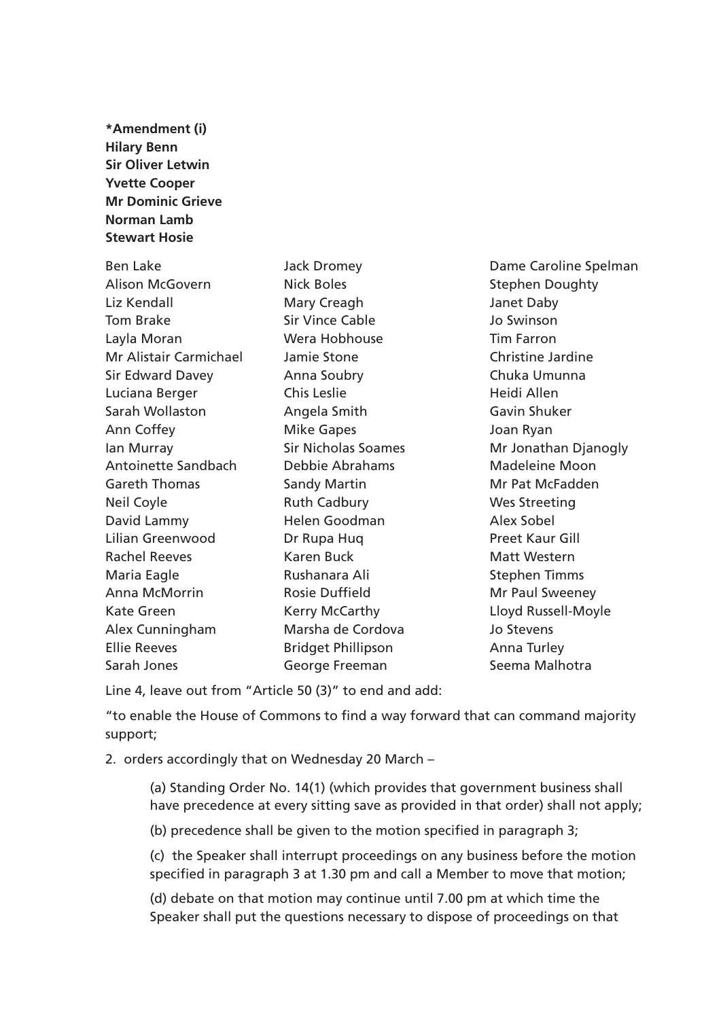**\*Amendment (i) Hilary Benn Sir Oliver Letwin Yvette Cooper Mr Dominic Grieve Norman Lamb Stewart Hosie**

Alison McGovern **Nick Boles** Nick Holes Stephen Doughty Liz Kendall Mary Creagh Janet Daby Tom Brake Sir Vince Cable Jo Swinson Layla Moran Wera Hobhouse Tim Farron Mr Alistair Carmichael Jamie Stone Christine Jardine Sir Edward Davey Anna Soubry Chuka Umunna Luciana Berger Chis Leslie **Chis Leslie** Heidi Allen Sarah Wollaston Angela Smith Gavin Shuker Ann Coffey **Mike Gapes Mike Gapes** Joan Ryan Antoinette Sandbach Debbie Abrahams Madeleine Moon Gareth Thomas Sandy Martin Mr Pat McFadden Neil Coyle **Ruth Cadbury Wes Streeting** David Lammy **Helen Goodman** Alex Sobel Lilian Greenwood Dr Rupa Huq Preet Kaur Gill Rachel Reeves **Karen Buck** Matt Western Maria Eagle **Rushanara Ali** Stephen Timms Anna McMorrin **Rosie Duffield** Mr Paul Sweeney Kate Green **Kerry McCarthy Communist Control** Lloyd Russell-Moyle Alex Cunningham Marsha de Cordova Jo Stevens Ellie Reeves Bridget Phillipson Anna Turley Sarah Jones **Sarah Jones** George Freeman Seema Malhotra

Ben Lake **Internal Caroline Spelman** Jack Dromey **Dame Caroline Spelman** Ian Murray **Sir Nicholas Soames** Mr Jonathan Djanogly

Line 4, leave out from "Article 50 (3)" to end and add:

"to enable the House of Commons to find a way forward that can command majority support;

2. orders accordingly that on Wednesday 20 March –

(a) Standing Order No. 14(1) (which provides that government business shall have precedence at every sitting save as provided in that order) shall not apply;

(b) precedence shall be given to the motion specified in paragraph 3;

(c) the Speaker shall interrupt proceedings on any business before the motion specified in paragraph 3 at 1.30 pm and call a Member to move that motion;

(d) debate on that motion may continue until 7.00 pm at which time the Speaker shall put the questions necessary to dispose of proceedings on that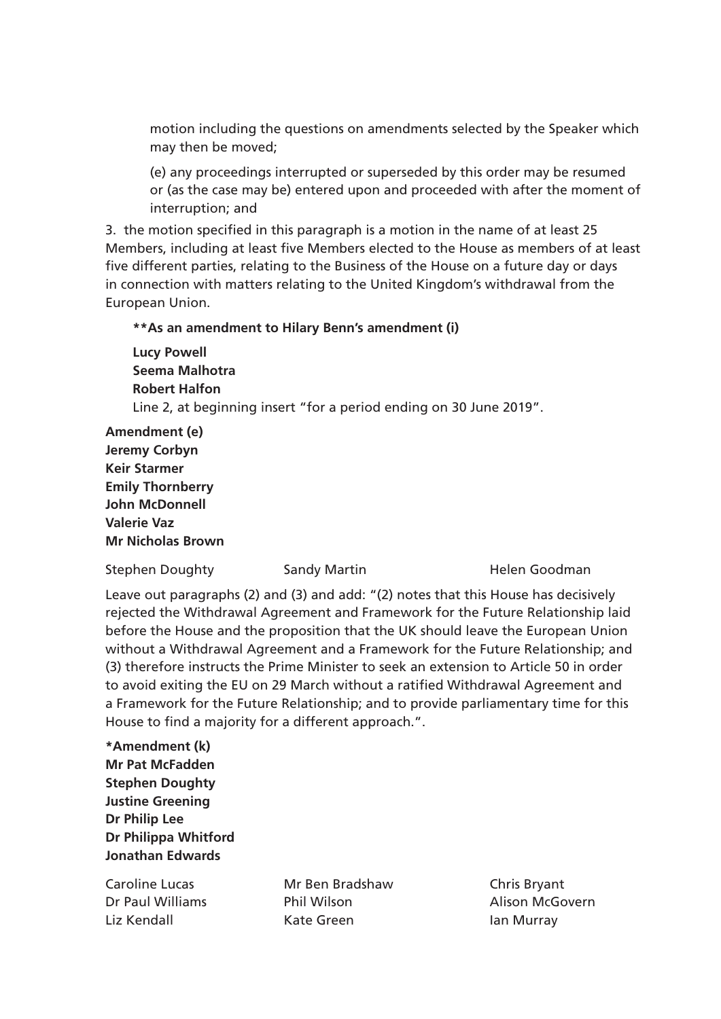motion including the questions on amendments selected by the Speaker which may then be moved;

(e) any proceedings interrupted or superseded by this order may be resumed or (as the case may be) entered upon and proceeded with after the moment of interruption; and

3. the motion specified in this paragraph is a motion in the name of at least 25 Members, including at least five Members elected to the House as members of at least five different parties, relating to the Business of the House on a future day or days in connection with matters relating to the United Kingdom's withdrawal from the European Union.

### **\*\*As an amendment to Hilary Benn's amendment (i)**

**Lucy Powell Seema Malhotra Robert Halfon** Line 2, at beginning insert "for a period ending on 30 June 2019".

**Amendment (e) Jeremy Corbyn Keir Starmer Emily Thornberry John McDonnell Valerie Vaz Mr Nicholas Brown** 

Stephen Doughty **Sandy Martin** Martin Helen Goodman

Leave out paragraphs (2) and (3) and add: "(2) notes that this House has decisively rejected the Withdrawal Agreement and Framework for the Future Relationship laid before the House and the proposition that the UK should leave the European Union without a Withdrawal Agreement and a Framework for the Future Relationship; and (3) therefore instructs the Prime Minister to seek an extension to Article 50 in order to avoid exiting the EU on 29 March without a ratified Withdrawal Agreement and a Framework for the Future Relationship; and to provide parliamentary time for this House to find a majority for a different approach.".

**\*Amendment (k) Mr Pat McFadden Stephen Doughty Justine Greening Dr Philip Lee Dr Philippa Whitford Jonathan Edwards**

Caroline Lucas Mr Ben Bradshaw Chris Bryant Dr Paul Williams Phil Wilson Alison McGovern Liz Kendall **Kate Green** Ian Murray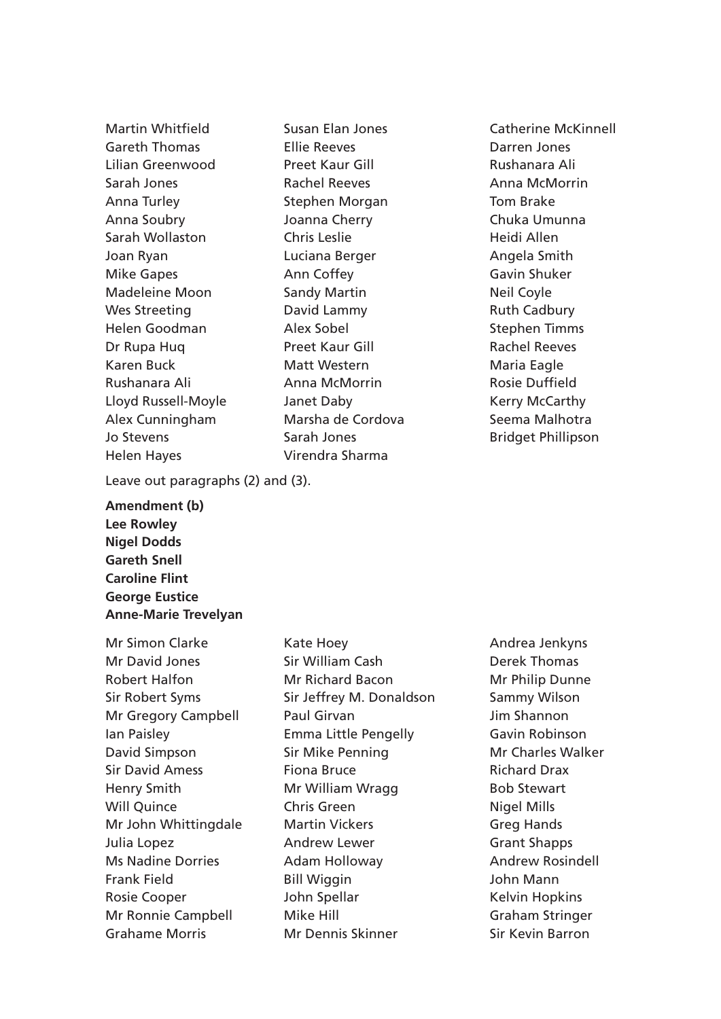Helen Hayes Virendra Sharma

Martin Whitfield Susan Elan Jones Catherine McKinnell Gareth Thomas Ellie Reeves Darren Jones Lilian Greenwood Preet Kaur Gill Rushanara Ali Sarah Jones **Rachel Reeves Anna McMorrin** Anna Turley **Stephen Morgan** Tom Brake Anna Soubry Joanna Cherry Chuka Umunna Sarah Wollaston Chris Leslie Heidi Allen Joan Ryan Luciana Berger Angela Smith Mike Gapes **Ann Coffey Anno Coffey Gavin Shuker** Madeleine Moon Sandy Martin Neil Coyle Wes Streeting **David Lammy Constructed Manual Cadbury** Helen Goodman Alex Sobel Stephen Timms Dr Rupa Hug **Preet Kaur Gill Rachel Reeves** Karen Buck Matt Western Maria Eagle Rushanara Ali **Anna McMorrin** Rosie Duffield Lloyd Russell-Moyle The Janet Daby The Move of Kerry McCarthy Alex Cunningham Marsha de Cordova Seema Malhotra Jo Stevens **Sarah Jones** Bridget Phillipson

Leave out paragraphs (2) and (3).

**Amendment (b) Lee Rowley Nigel Dodds Gareth Snell Caroline Flint George Eustice Anne-Marie Trevelyan** 

Mr Simon Clarke Kate Hoey **Andrea Jenkyns** Grahame Morris **Mr Dennis Skinner** Sir Kevin Barron

Mr David Jones Sir William Cash Derek Thomas Robert Halfon **Mr Richard Bacon** Mr Philip Dunne Sir Robert Syms Sir Jeffrey M. Donaldson Sammy Wilson Mr Gregory Campbell Paul Girvan Delton Design Mr Shannon Ian Paisley Emma Little Pengelly Gavin Robinson David Simpson Sir Mike Penning Mr Charles Walker Sir David Amess **Fiona Bruce Fiona Bruce Richard Drax** Henry Smith **Mr William Wragg** Bob Stewart Will Quince **Chris Green** Chris Green Nigel Mills Mr John Whittingdale Martin Vickers Greg Hands Julia Lopez Andrew Lewer Grant Shapps Ms Nadine Dorries **Adam Holloway Andrew Rosindell** Frank Field **Bill Wiggin** Bill Wiggin **Communist School** Bill Wiggin Rosie Cooper **State Super Search Spellar** Mosie Cooper Accord Mosing John Spellar Mr Ronnie Campbell Mike Hill Graham Stringer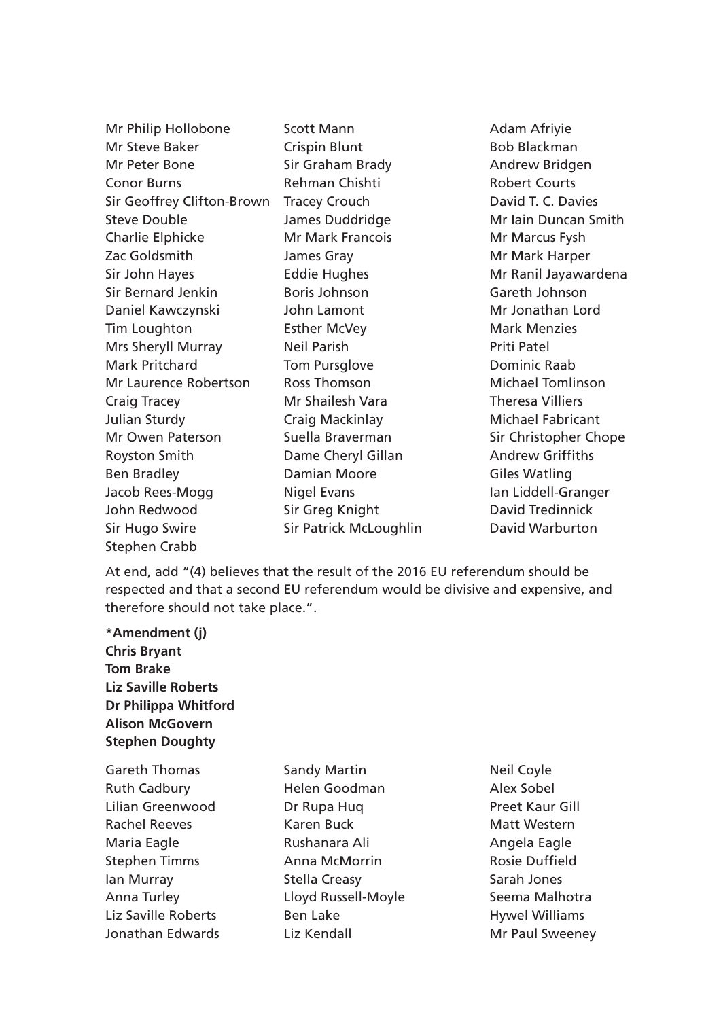| Mr Philip Hollobone        | Scott Mann              | Adam Afriyie             |
|----------------------------|-------------------------|--------------------------|
| Mr Steve Baker             | <b>Crispin Blunt</b>    | <b>Bob Blackman</b>      |
| Mr Peter Bone              | Sir Graham Brady        | Andrew Bridgen           |
| <b>Conor Burns</b>         | Rehman Chishti          | <b>Robert Courts</b>     |
| Sir Geoffrey Clifton-Brown | <b>Tracey Crouch</b>    | David T. C. Davies       |
| <b>Steve Double</b>        | James Duddridge         | Mr Iain Duncan Smith     |
| Charlie Elphicke           | <b>Mr Mark Francois</b> | Mr Marcus Fysh           |
| Zac Goldsmith              | James Gray              | Mr Mark Harper           |
| Sir John Hayes             | <b>Eddie Hughes</b>     | Mr Ranil Jayawardena     |
| <b>Sir Bernard Jenkin</b>  | <b>Boris Johnson</b>    | Gareth Johnson           |
| Daniel Kawczynski          | John Lamont             | Mr Jonathan Lord         |
| Tim Loughton               | <b>Esther McVey</b>     | <b>Mark Menzies</b>      |
| Mrs Sheryll Murray         | <b>Neil Parish</b>      | <b>Priti Patel</b>       |
| <b>Mark Pritchard</b>      | Tom Pursglove           | Dominic Raab             |
| Mr Laurence Robertson      | <b>Ross Thomson</b>     | <b>Michael Tomlinson</b> |
| Craig Tracey               | Mr Shailesh Vara        | <b>Theresa Villiers</b>  |
| Julian Sturdy              | Craig Mackinlay         | <b>Michael Fabricant</b> |
| Mr Owen Paterson           | Suella Braverman        | Sir Christopher Chope    |
| <b>Royston Smith</b>       | Dame Cheryl Gillan      | <b>Andrew Griffiths</b>  |
| <b>Ben Bradley</b>         | <b>Damian Moore</b>     | <b>Giles Watling</b>     |
| Jacob Rees-Mogg            | <b>Nigel Evans</b>      | Ian Liddell-Granger      |
| John Redwood               | Sir Greg Knight         | David Tredinnick         |
| Sir Hugo Swire             | Sir Patrick McLoughlin  | <b>David Warburton</b>   |

At end, add "(4) believes that the result of the 2016 EU referendum should be respected and that a second EU referendum would be divisive and expensive, and therefore should not take place.".

**\*Amendment (j) Chris Bryant Tom Brake Liz Saville Roberts Dr Philippa Whitford Alison McGovern Stephen Doughty**

Stephen Crabb

Gareth Thomas Sandy Martin Neil Coyle Ruth Cadbury **Helen Goodman** Alex Sobel Lilian Greenwood Dr Rupa Huq Dr Rupa Huq Preet Kaur Gill Rachel Reeves **Karen Buck** Matt Western Matt Western Maria Eagle **Rushanara Ali Angela Eagle** Rushanara Ali Stephen Timms **Anna McMorrin** Rosie Duffield Ian Murray Stella Creasy Sarah Jones Anna Turley **Eloyd Russell-Moyle** Seema Malhotra Liz Saville Roberts **Ben Lake Ben Lake** Hywel Williams Jonathan Edwards Liz Kendall Mr Paul Sweeney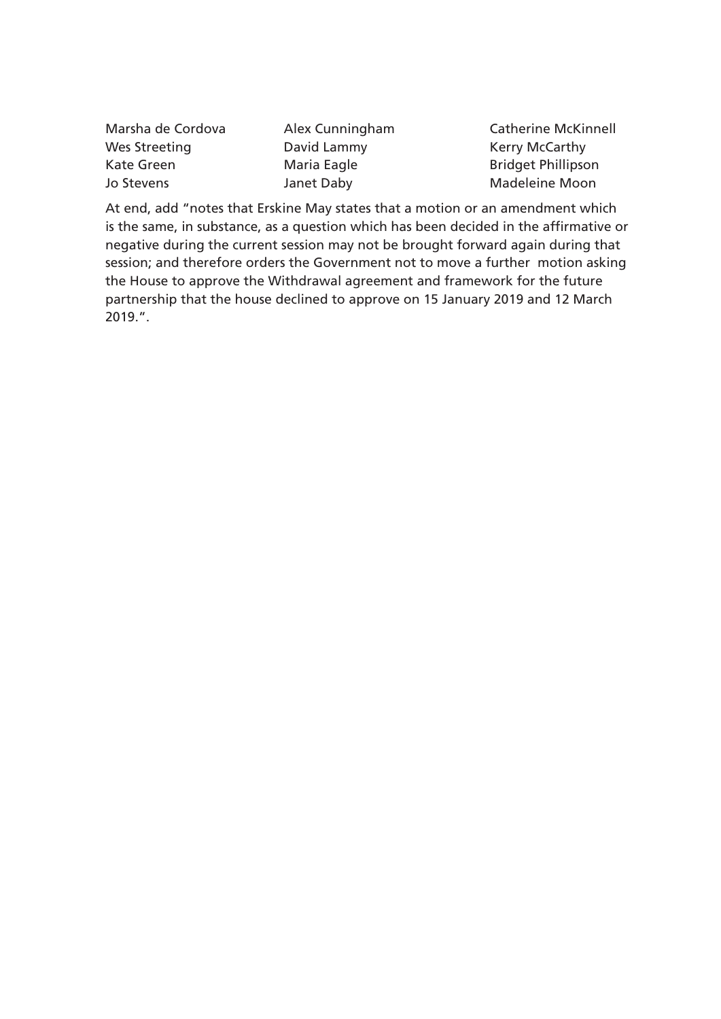Wes Streeting **David Lammy** Charthy Kerry McCarthy Kate Green **Maria Eagle** Bridget Phillipson Jo Stevens **Janet Daby** Madeleine Moon

Marsha de Cordova Alex Cunningham Catherine McKinnell

At end, add "notes that Erskine May states that a motion or an amendment which is the same, in substance, as a question which has been decided in the affirmative or negative during the current session may not be brought forward again during that session; and therefore orders the Government not to move a further motion asking the House to approve the Withdrawal agreement and framework for the future partnership that the house declined to approve on 15 January 2019 and 12 March 2019.".